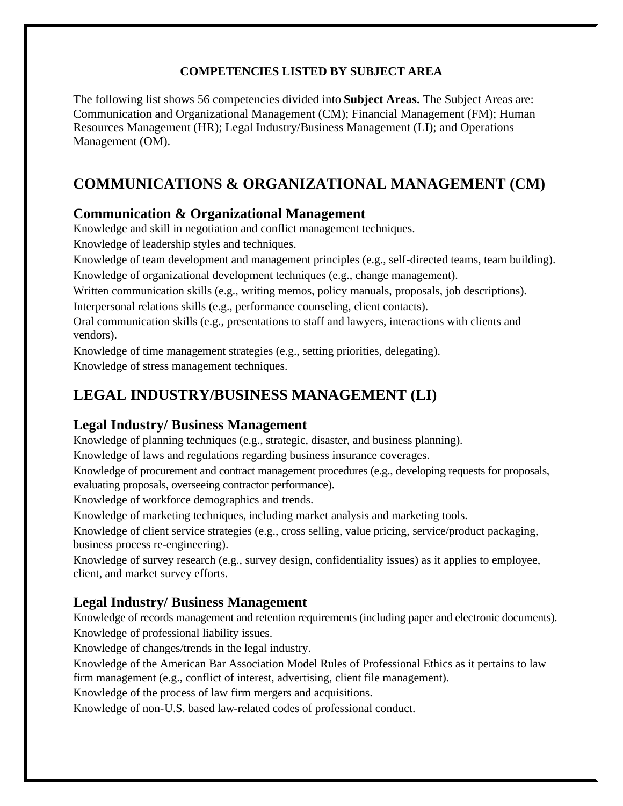#### **COMPETENCIES LISTED BY SUBJECT AREA**

The following list shows 56 competencies divided into **Subject Areas.** The Subject Areas are: Communication and Organizational Management (CM); Financial Management (FM); Human Resources Management (HR); Legal Industry/Business Management (LI); and Operations Management (OM).

# **COMMUNICATIONS & ORGANIZATIONAL MANAGEMENT (CM)**

#### **Communication & Organizational Management**

Knowledge and skill in negotiation and conflict management techniques.

Knowledge of leadership styles and techniques.

Knowledge of team development and management principles (e.g., self-directed teams, team building). Knowledge of organizational development techniques (e.g., change management).

Written communication skills (e.g., writing memos, policy manuals, proposals, job descriptions). Interpersonal relations skills (e.g., performance counseling, client contacts).

Oral communication skills (e.g., presentations to staff and lawyers, interactions with clients and vendors).

Knowledge of time management strategies (e.g., setting priorities, delegating). Knowledge of stress management techniques.

## **LEGAL INDUSTRY/BUSINESS MANAGEMENT (LI)**

#### **Legal Industry/ Business Management**

Knowledge of planning techniques (e.g., strategic, disaster, and business planning).

Knowledge of laws and regulations regarding business insurance coverages.

Knowledge of procurement and contract management procedures (e.g., developing requests for proposals, evaluating proposals, overseeing contractor performance).

Knowledge of workforce demographics and trends.

Knowledge of marketing techniques, including market analysis and marketing tools.

Knowledge of client service strategies (e.g., cross selling, value pricing, service/product packaging, business process re-engineering).

Knowledge of survey research (e.g., survey design, confidentiality issues) as it applies to employee, client, and market survey efforts.

#### **Legal Industry/ Business Management**

Knowledge of records management and retention requirements (including paper and electronic documents). Knowledge of professional liability issues.

Knowledge of changes/trends in the legal industry.

Knowledge of the American Bar Association Model Rules of Professional Ethics as it pertains to law firm management (e.g., conflict of interest, advertising, client file management).

Knowledge of the process of law firm mergers and acquisitions.

Knowledge of non-U.S. based law-related codes of professional conduct.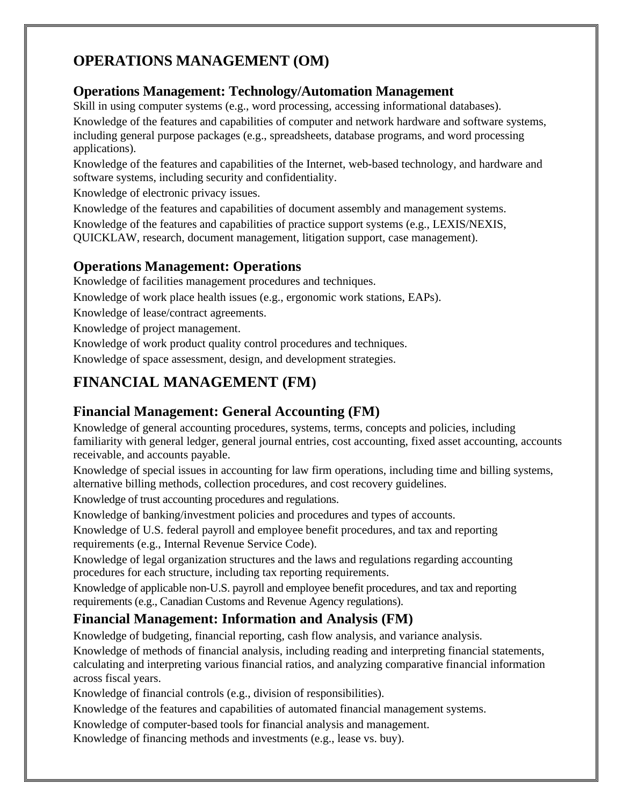# **OPERATIONS MANAGEMENT (OM)**

### **Operations Management: Technology/Automation Management**

Skill in using computer systems (e.g., word processing, accessing informational databases). Knowledge of the features and capabilities of computer and network hardware and software systems, including general purpose packages (e.g., spreadsheets, database programs, and word processing applications).

Knowledge of the features and capabilities of the Internet, web-based technology, and hardware and software systems, including security and confidentiality.

Knowledge of electronic privacy issues.

Knowledge of the features and capabilities of document assembly and management systems.

Knowledge of the features and capabilities of practice support systems (e.g., LEXIS/NEXIS, QUICKLAW, research, document management, litigation support, case management).

## **Operations Management: Operations**

Knowledge of facilities management procedures and techniques.

Knowledge of work place health issues (e.g., ergonomic work stations, EAPs).

Knowledge of lease/contract agreements.

Knowledge of project management.

Knowledge of work product quality control procedures and techniques.

Knowledge of space assessment, design, and development strategies.

# **FINANCIAL MANAGEMENT (FM)**

## **Financial Management: General Accounting (FM)**

Knowledge of general accounting procedures, systems, terms, concepts and policies, including familiarity with general ledger, general journal entries, cost accounting, fixed asset accounting, accounts receivable, and accounts payable.

Knowledge of special issues in accounting for law firm operations, including time and billing systems, alternative billing methods, collection procedures, and cost recovery guidelines.

Knowledge of trust accounting procedures and regulations.

Knowledge of banking/investment policies and procedures and types of accounts.

Knowledge of U.S. federal payroll and employee benefit procedures, and tax and reporting requirements (e.g., Internal Revenue Service Code).

Knowledge of legal organization structures and the laws and regulations regarding accounting procedures for each structure, including tax reporting requirements.

Knowledge of applicable non-U.S. payroll and employee benefit procedures, and tax and reporting requirements (e.g., Canadian Customs and Revenue Agency regulations).

## **Financial Management: Information and Analysis (FM)**

Knowledge of budgeting, financial reporting, cash flow analysis, and variance analysis.

Knowledge of methods of financial analysis, including reading and interpreting financial statements, calculating and interpreting various financial ratios, and analyzing comparative financial information across fiscal years.

Knowledge of financial controls (e.g., division of responsibilities).

Knowledge of the features and capabilities of automated financial management systems.

Knowledge of computer-based tools for financial analysis and management.

Knowledge of financing methods and investments (e.g., lease vs. buy).